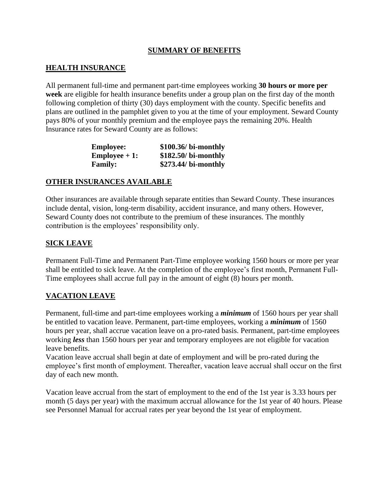## **SUMMARY OF BENEFITS**

# **HEALTH INSURANCE**

All permanent full-time and permanent part-time employees working **30 hours or more per week** are eligible for health insurance benefits under a group plan on the first day of the month following completion of thirty (30) days employment with the county. Specific benefits and plans are outlined in the pamphlet given to you at the time of your employment. Seward County pays 80% of your monthly premium and the employee pays the remaining 20%. Health Insurance rates for Seward County are as follows:

| <b>Employee:</b>     | \$100.36/ bi-monthly  |
|----------------------|-----------------------|
| <b>Employee</b> + 1: | $$182.50/$ bi-monthly |
| <b>Family:</b>       | \$273.44/ bi-monthly  |

### **OTHER INSURANCES AVAILABLE**

Other insurances are available through separate entities than Seward County. These insurances include dental, vision, long-term disability, accident insurance, and many others. However, Seward County does not contribute to the premium of these insurances. The monthly contribution is the employees' responsibility only.

# **SICK LEAVE**

Permanent Full-Time and Permanent Part-Time employee working 1560 hours or more per year shall be entitled to sick leave. At the completion of the employee's first month, Permanent Full-Time employees shall accrue full pay in the amount of eight (8) hours per month.

# **VACATION LEAVE**

Permanent, full-time and part-time employees working a *minimum* of 1560 hours per year shall be entitled to vacation leave. Permanent, part-time employees, working a *minimum* of 1560 hours per year, shall accrue vacation leave on a pro-rated basis. Permanent, part-time employees working *less* than 1560 hours per year and temporary employees are not eligible for vacation leave benefits.

Vacation leave accrual shall begin at date of employment and will be pro-rated during the employee's first month of employment. Thereafter, vacation leave accrual shall occur on the first day of each new month.

Vacation leave accrual from the start of employment to the end of the 1st year is 3.33 hours per month (5 days per year) with the maximum accrual allowance for the 1st year of 40 hours. Please see Personnel Manual for accrual rates per year beyond the 1st year of employment.